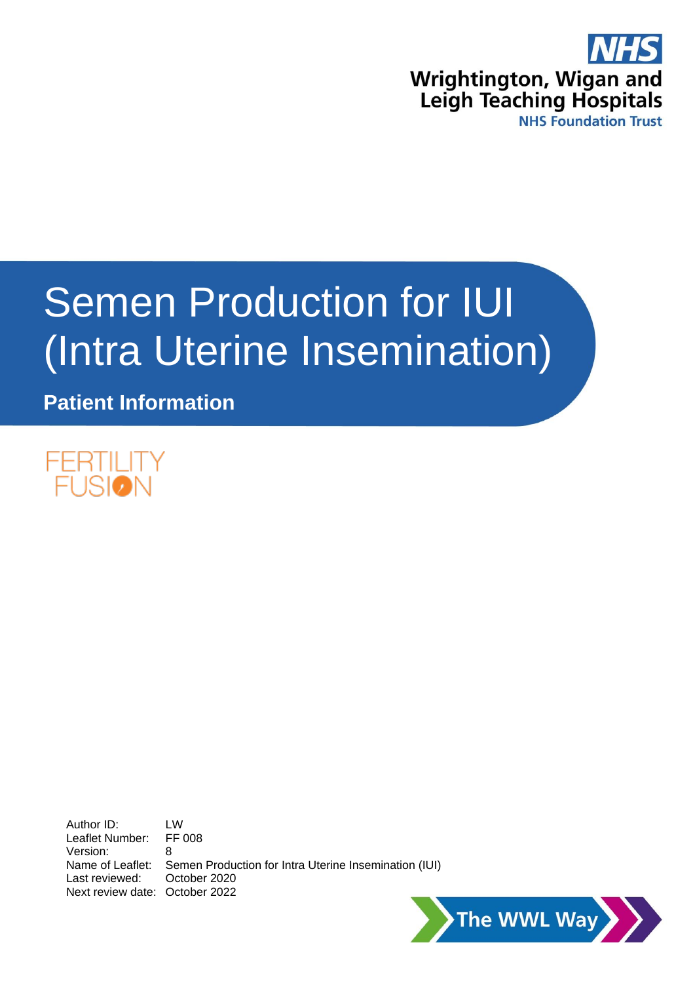

# Semen Production for IUI (Intra Uterine Insemination)

**Patient Information**



Author ID: LW<br>Leaflet Number: FF 008 Leaflet Number: Version: 8 Name of Leaflet: Semen Production for Intra Uterine Insemination (IUI) Last reviewed: October 2020 Next review date: October 2022

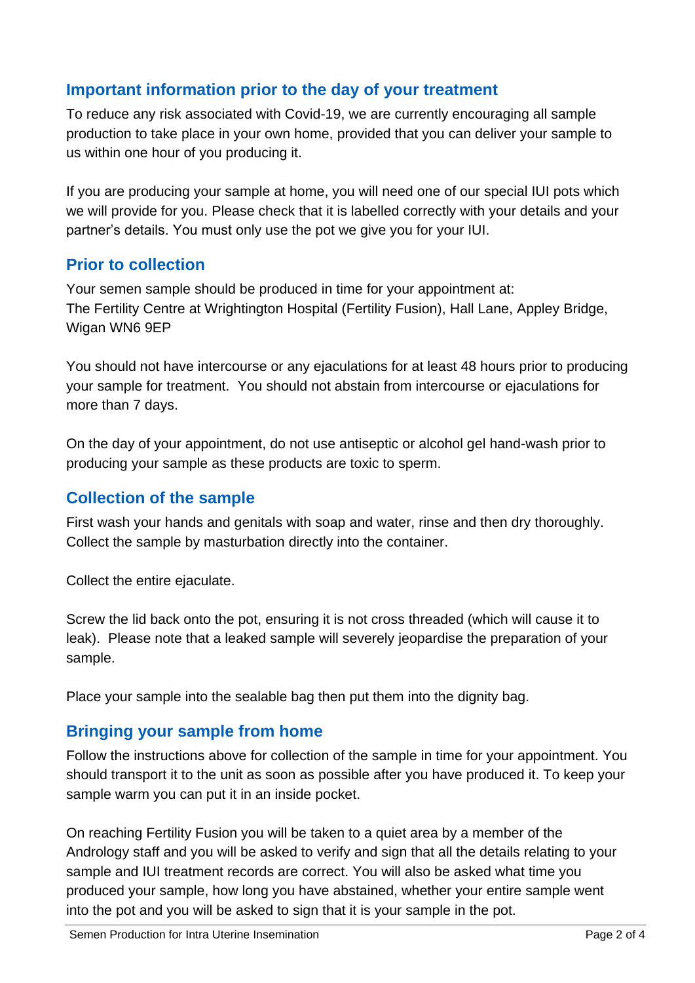## **Important information prior to the day of your treatment**

To reduce any risk associated with Covid-19, we are currently encouraging all sample production to take place in your own home, provided that you can deliver your sample to us within one hour of you producing it.

If you are producing your sample at home, you will need one of our special IUI pots which we will provide for you. Please check that it is labelled correctly with your details and your partner's details. You must only use the pot we give you for your IUI.

#### **Prior to collection**

Your semen sample should be produced in time for your appointment at: The Fertility Centre at Wrightington Hospital (Fertility Fusion), Hall Lane, Appley Bridge, Wigan WN6 9EP

You should not have intercourse or any ejaculations for at least 48 hours prior to producing your sample for treatment. You should not abstain from intercourse or ejaculations for more than 7 days.

On the day of your appointment, do not use antiseptic or alcohol gel hand-wash prior to producing your sample as these products are toxic to sperm.

### **Collection of the sample**

First wash your hands and genitals with soap and water, rinse and then dry thoroughly. Collect the sample by masturbation directly into the container.

Collect the entire ejaculate.

Screw the lid back onto the pot, ensuring it is not cross threaded (which will cause it to leak). Please note that a leaked sample will severely jeopardise the preparation of your sample.

Place your sample into the sealable bag then put them into the dignity bag.

# **Bringing your sample from home**

Follow the instructions above for collection of the sample in time for your appointment. You should transport it to the unit as soon as possible after you have produced it. To keep your sample warm you can put it in an inside pocket.

On reaching Fertility Fusion you will be taken to a quiet area by a member of the Andrology staff and you will be asked to verify and sign that all the details relating to your sample and IUI treatment records are correct. You will also be asked what time you produced your sample, how long you have abstained, whether your entire sample went into the pot and you will be asked to sign that it is your sample in the pot.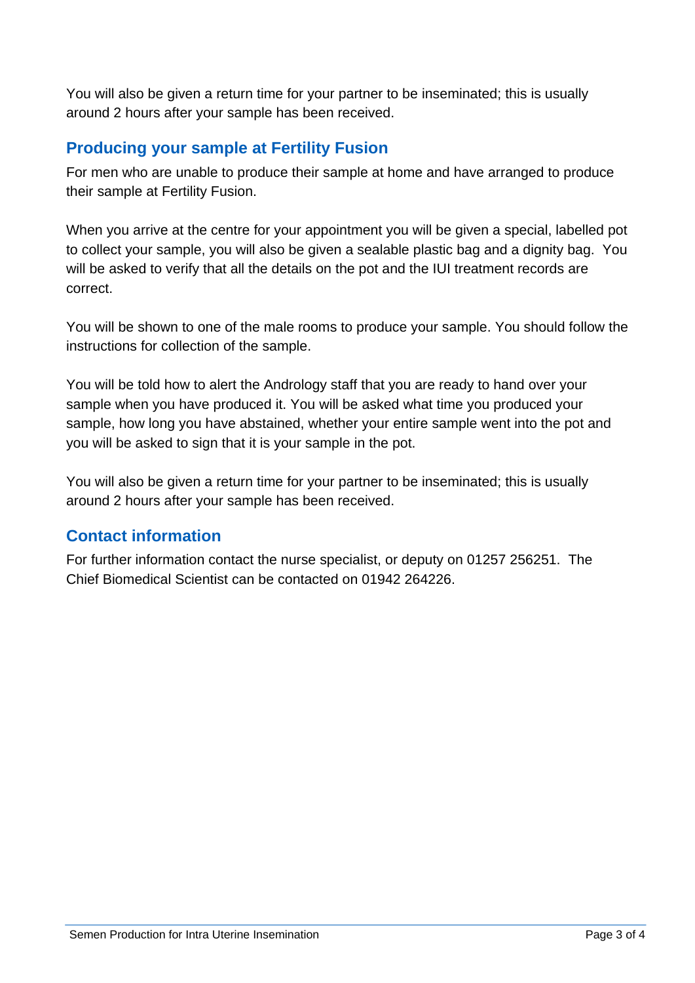You will also be given a return time for your partner to be inseminated; this is usually around 2 hours after your sample has been received.

## **Producing your sample at Fertility Fusion**

For men who are unable to produce their sample at home and have arranged to produce their sample at Fertility Fusion.

When you arrive at the centre for your appointment you will be given a special, labelled pot to collect your sample, you will also be given a sealable plastic bag and a dignity bag. You will be asked to verify that all the details on the pot and the IUI treatment records are correct.

You will be shown to one of the male rooms to produce your sample. You should follow the instructions for collection of the sample.

You will be told how to alert the Andrology staff that you are ready to hand over your sample when you have produced it. You will be asked what time you produced your sample, how long you have abstained, whether your entire sample went into the pot and you will be asked to sign that it is your sample in the pot.

You will also be given a return time for your partner to be inseminated; this is usually around 2 hours after your sample has been received.

#### **Contact information**

For further information contact the nurse specialist, or deputy on 01257 256251. The Chief Biomedical Scientist can be contacted on 01942 264226.